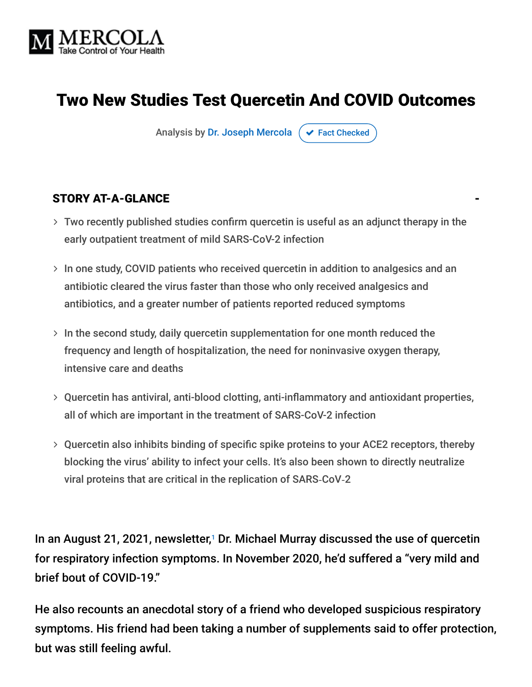

# Two New Studies Test Quercetin And COVID Outcomes

Analysis by [Dr. Joseph Mercola](https://www.mercola.com/forms/background.htm)  $\sigma$  [Fact Checked](javascript:void(0))

#### STORY AT-A-GLANCE

- Two recently published studies confirm quercetin is useful as an adjunct therapy in the early outpatient treatment of mild SARS-CoV-2 infection
- $>$  In one study, COVID patients who received quercetin in addition to analgesics and an antibiotic cleared the virus faster than those who only received analgesics and antibiotics, and a greater number of patients reported reduced symptoms
- $>$  In the second study, daily quercetin supplementation for one month reduced the frequency and length of hospitalization, the need for noninvasive oxygen therapy, intensive care and deaths
- Quercetin has antiviral, anti-blood clotting, anti-inflammatory and antioxidant properties, all of which are important in the treatment of SARS-CoV-2 infection
- Quercetin also inhibits binding of specific spike proteins to your ACE2 receptors, thereby blocking the virus' ability to infect your cells. It's also been shown to directly neutralize viral proteins that are critical in the replication of SARS‐CoV‐2

In an August 21, 2021, newsletter, $1$  Dr. Michael Murray discussed the use of quercetin for respiratory infection symptoms. In November 2020, he'd suffered a "very mild and brief bout of COVID-19."

He also recounts an anecdotal story of a friend who developed suspicious respiratory symptoms. His friend had been taking a number of supplements said to offer protection, but was still feeling awful.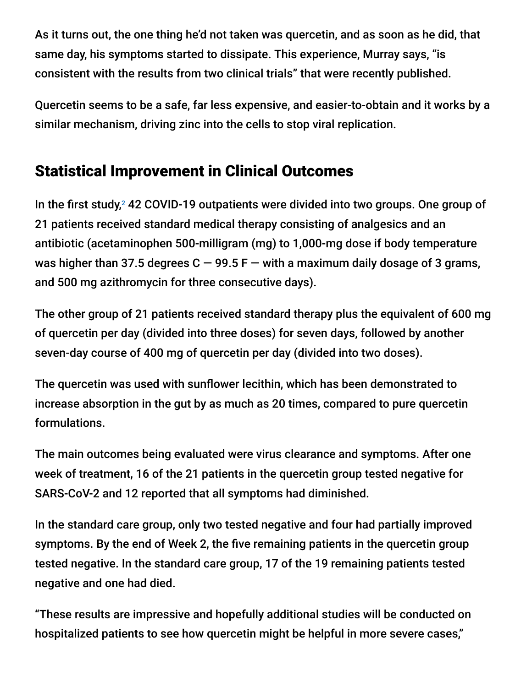As it turns out, the one thing he'd not taken was quercetin, and as soon as he did, that same day, his symptoms started to dissipate. This experience, Murray says, "is consistent with the results from two clinical trials" that were recently published.

Quercetin seems to be a safe, far less expensive, and easier-to-obtain and it works by a similar mechanism, driving zinc into the cells to stop viral replication.

## Statistical Improvement in Clinical Outcomes

In the first study,<sup>2</sup> 42 COVID-19 outpatients were divided into two groups. One group of 21 patients received standard medical therapy consisting of analgesics and an antibiotic (acetaminophen 500-milligram (mg) to 1,000-mg dose if body temperature was higher than 37.5 degrees  $C - 99.5 F -$  with a maximum daily dosage of 3 grams, and 500 mg azithromycin for three consecutive days).

The other group of 21 patients received standard therapy plus the equivalent of 600 mg of quercetin per day (divided into three doses) for seven days, followed by another seven-day course of 400 mg of quercetin per day (divided into two doses).

The quercetin was used with sunflower lecithin, which has been demonstrated to increase absorption in the gut by as much as 20 times, compared to pure quercetin formulations.

The main outcomes being evaluated were virus clearance and symptoms. After one week of treatment, 16 of the 21 patients in the quercetin group tested negative for SARS-CoV-2 and 12 reported that all symptoms had diminished.

In the standard care group, only two tested negative and four had partially improved symptoms. By the end of Week 2, the five remaining patients in the quercetin group tested negative. In the standard care group, 17 of the 19 remaining patients tested negative and one had died.

"These results are impressive and hopefully additional studies will be conducted on hospitalized patients to see how quercetin might be helpful in more severe cases,"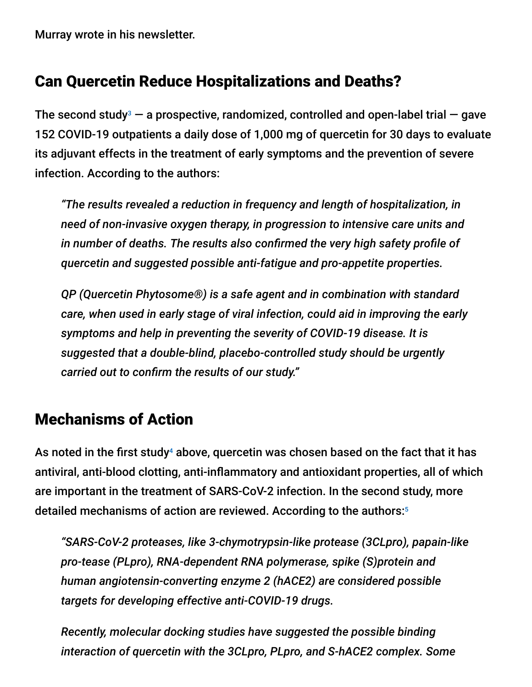Murray wrote in his newsletter.

#### Can Quercetin Reduce Hospitalizations and Deaths?

The second study<sup>3</sup>  $-$  a prospective, randomized, controlled and open-label trial  $-$  gave 152 COVID-19 outpatients a daily dose of 1,000 mg of quercetin for 30 days to evaluate its adjuvant effects in the treatment of early symptoms and the prevention of severe infection. According to the authors:

*"The results revealed a reduction in frequency and length of hospitalization, in need of non-invasive oxygen therapy, in progression to intensive care units and in number of deaths. The results also confirmed the very high safety profile of quercetin and suggested possible anti-fatigue and pro-appetite properties.*

*QP (Quercetin Phytosome®) is a safe agent and in combination with standard care, when used in early stage of viral infection, could aid in improving the early symptoms and help in preventing the severity of COVID-19 disease. It is suggested that a double-blind, placebo-controlled study should be urgently carried out to confirm the results of our study."*

#### Mechanisms of Action

As noted in the first study $^4$  above, quercetin was chosen based on the fact that it has antiviral, anti-blood clotting, anti-inflammatory and antioxidant properties, all of which are important in the treatment of SARS-CoV-2 infection. In the second study, more detailed mechanisms of action are reviewed. According to the authors: 5

*"SARS-CoV-2 proteases, like 3-chymotrypsin-like protease (3CLpro), papain-like pro-tease (PLpro), RNA-dependent RNA polymerase, spike (S)protein and human angiotensin-converting enzyme 2 (hACE2) are considered possible targets for developing effective anti-COVID-19 drugs.*

*Recently, molecular docking studies have suggested the possible binding interaction of quercetin with the 3CLpro, PLpro, and S-hACE2 complex. Some*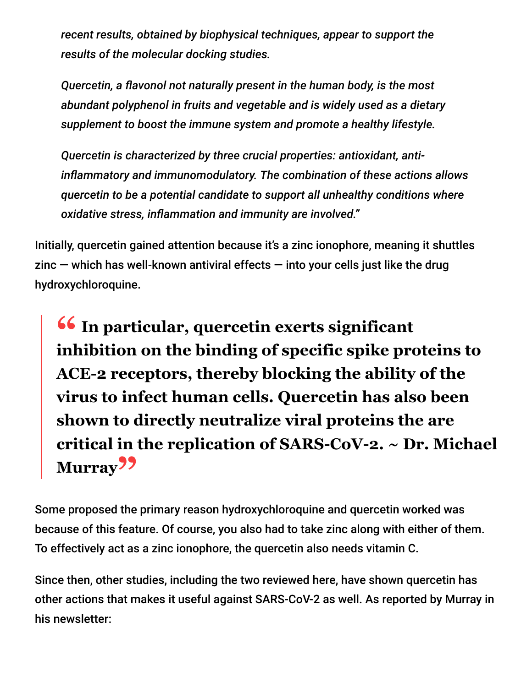*recent results, obtained by biophysical techniques, appear to support the results of the molecular docking studies.*

*Quercetin, a flavonol not naturally present in the human body, is the most abundant polyphenol in fruits and vegetable and is widely used as a dietary supplement to boost the immune system and promote a healthy lifestyle.*

*Quercetin is characterized by three crucial properties: antioxidant, antiinflammatory and immunomodulatory. The combination of these actions allows quercetin to be a potential candidate to support all unhealthy conditions where oxidative stress, inflammation and immunity are involved."*

Initially, quercetin gained attention because it's a zinc ionophore, meaning it shuttles  $zinc$  – which has well-known antiviral effects – into your cells just like the drug hydroxychloroquine.

**<sup>66</sup>** In particular, quercetin exerts significant **inhibition** on the binding of specific spike pro **inhibition on the binding of specific spike proteins to ACE-2 receptors, thereby blocking the ability of the virus to infect human cells. Quercetin has also been shown to directly neutralize viral proteins the are critical in the replication of SARS-CoV-2. ~ Dr. Michael Murray"**

Some proposed the primary reason hydroxychloroquine and quercetin worked was because of this feature. Of course, you also had to take zinc along with either of them. To effectively act as a zinc ionophore, the quercetin also needs vitamin C.

Since then, other studies, including the two reviewed here, have shown quercetin has other actions that makes it useful against SARS-CoV-2 as well. As reported by Murray in his newsletter: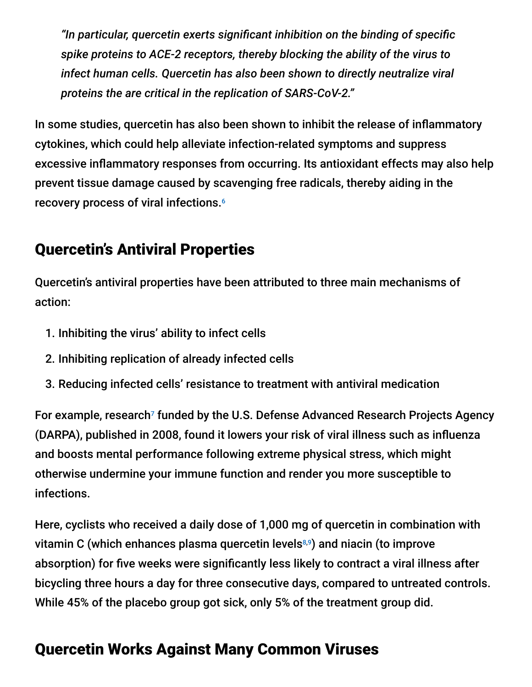*"In particular, quercetin exerts significant inhibition on the binding of specific spike proteins to ACE-2 receptors, thereby blocking the ability of the virus to infect human cells. Quercetin has also been shown to directly neutralize viral proteins the are critical in the replication of SARS-CoV-2."*

In some studies, quercetin has also been shown to inhibit the release of inflammatory cytokines, which could help alleviate infection-related symptoms and suppress excessive inflammatory responses from occurring. Its antioxidant effects may also help prevent tissue damage caused by scavenging free radicals, thereby aiding in the recovery process of viral infections. 6

## Quercetin's Antiviral Properties

Quercetin's antiviral properties have been attributed to three main mechanisms of action:

- 1. Inhibiting the virus' ability to infect cells
- 2. Inhibiting replication of already infected cells
- 3. Reducing infected cells' resistance to treatment with antiviral medication

For example, research<sup>7</sup> funded by the U.S. Defense Advanced Research Projects Agency (DARPA), published in 2008, found it lowers your risk of viral illness such as influenza and boosts mental performance following extreme physical stress, which might otherwise undermine your immune function and render you more susceptible to infections.

Here, cyclists who received a daily dose of 1,000 mg of quercetin in combination with vitamin C (which enhances plasma quercetin levels8,9) and niacin (to improve absorption) for five weeks were significantly less likely to contract a viral illness after bicycling three hours a day for three consecutive days, compared to untreated controls. While 45% of the placebo group got sick, only 5% of the treatment group did.

# Quercetin Works Against Many Common Viruses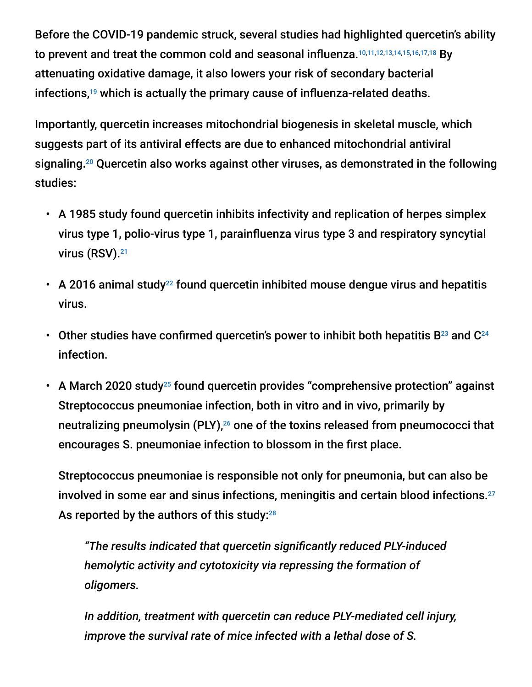Before the COVID-19 pandemic struck, several studies had highlighted quercetin's ability to prevent and treat the common cold and seasonal influenza.<sup>10,11,12,13,14,15,16,17,18</sup> By attenuating oxidative damage, it also lowers your risk of secondary bacterial infections, $19$  which is actually the primary cause of influenza-related deaths.

Importantly, quercetin increases mitochondrial biogenesis in skeletal muscle, which suggests part of its antiviral effects are due to enhanced mitochondrial antiviral signaling.<sup>20</sup> Quercetin also works against other viruses, as demonstrated in the following studies:

- A 1985 study found quercetin inhibits infectivity and replication of herpes simplex virus type 1, polio-virus type 1, parainfluenza virus type 3 and respiratory syncytial virus (RSV). 21
- A 2016 animal study<sup>22</sup> found quercetin inhibited mouse dengue virus and hepatitis virus.
- Other studies have confirmed quercetin's power to inhibit both hepatitis B<sup>23</sup> and C<sup>24</sup> infection.
- A March 2020 study<sup>25</sup> found quercetin provides "comprehensive protection" against Streptococcus pneumoniae infection, both in vitro and in vivo, primarily by neutralizing pneumolysin (PLY), $^{26}$  one of the toxins released from pneumococci that encourages S. pneumoniae infection to blossom in the first place.

Streptococcus pneumoniae is responsible not only for pneumonia, but can also be involved in some ear and sinus infections, meningitis and certain blood infections. 27 As reported by the authors of this study: $^{28}$ 

*"The results indicated that quercetin significantly reduced PLY-induced hemolytic activity and cytotoxicity via repressing the formation of oligomers.*

*In addition, treatment with quercetin can reduce PLY-mediated cell injury, improve the survival rate of mice infected with a lethal dose of S.*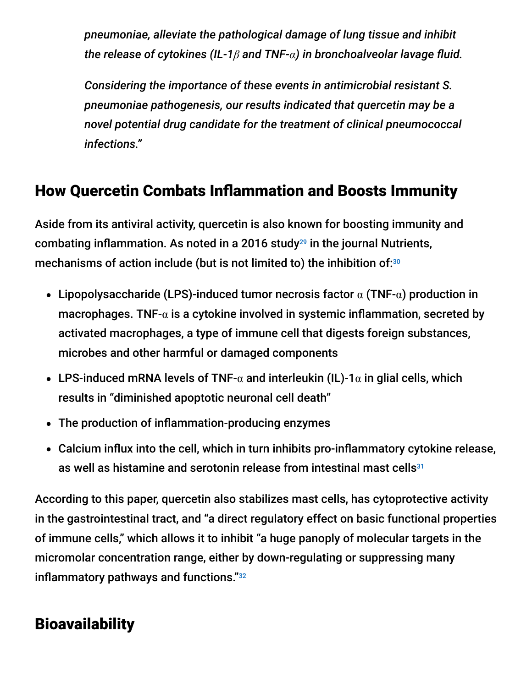*pneumoniae, alleviate the pathological damage of lung tissue and inhibit the release of cytokines (IL-1β and TNF-α) in bronchoalveolar lavage fluid.*

*Considering the importance of these events in antimicrobial resistant S. pneumoniae pathogenesis, our results indicated that quercetin may be a novel potential drug candidate for the treatment of clinical pneumococcal infections."*

## How Quercetin Combats Inflammation and Boosts Immunity

Aside from its antiviral activity, quercetin is also known for boosting immunity and combating inflammation. As noted in a 2016 study $^{29}$  in the journal Nutrients, mechanisms of action include (but is not limited to) the inhibition of: $30$ 

- Lipopolysaccharide (LPS)-induced tumor necrosis factor  $\alpha$  (TNF- $\alpha$ ) production in macrophages. TNF- $\alpha$  is a cytokine involved in systemic inflammation, secreted by activated macrophages, a type of immune cell that digests foreign substances, microbes and other harmful or damaged components
- **•** LPS-induced mRNA levels of TNF- $\alpha$  and interleukin (IL)-1 $\alpha$  in glial cells, which results in "diminished apoptotic neuronal cell death"
- The production of inflammation-producing enzymes
- Calcium influx into the cell, which in turn inhibits pro-inflammatory cytokine release, as well as histamine and serotonin release from intestinal mast cells 31

According to this paper, quercetin also stabilizes mast cells, has cytoprotective activity in the gastrointestinal tract, and "a direct regulatory effect on basic functional properties of immune cells," which allows it to inhibit "a huge panoply of molecular targets in the micromolar concentration range, either by down-regulating or suppressing many inflammatory pathways and functions." 32

# **Bioavailability**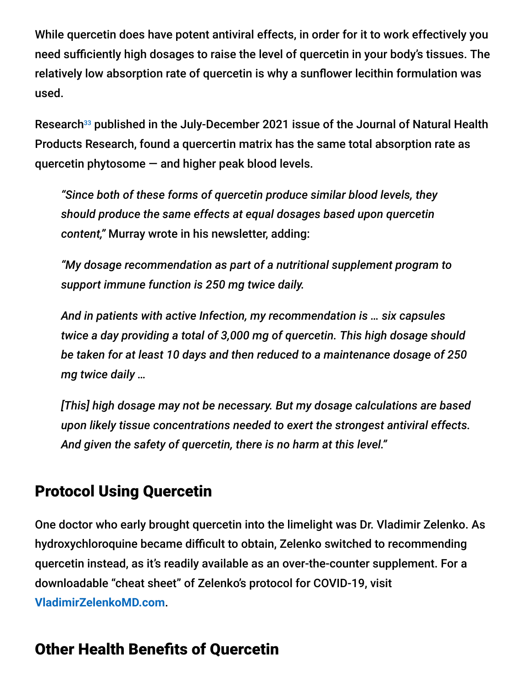While quercetin does have potent antiviral effects, in order for it to work effectively you need sufficiently high dosages to raise the level of quercetin in your body's tissues. The relatively low absorption rate of quercetin is why a sunflower lecithin formulation was used.

Research<sup>33</sup> published in the July-December 2021 issue of the Journal of Natural Health Products Research, found a quercertin matrix has the same total absorption rate as quercetin phytosome  $-$  and higher peak blood levels.

*"Since both of these forms of quercetin produce similar blood levels, they should produce the same effects at equal dosages based upon quercetin content,"* Murray wrote in his newsletter, adding:

*"My dosage recommendation as part of a nutritional supplement program to support immune function is 250 mg twice daily.*

*And in patients with active Infection, my recommendation is … six capsules twice a day providing a total of 3,000 mg of quercetin. This high dosage should be taken for at least 10 days and then reduced to a maintenance dosage of 250 mg twice daily …*

*[This] high dosage may not be necessary. But my dosage calculations are based upon likely tissue concentrations needed to exert the strongest antiviral effects. And given the safety of quercetin, there is no harm at this level."*

## Protocol Using Quercetin

One doctor who early brought quercetin into the limelight was Dr. Vladimir Zelenko. As hydroxychloroquine became difficult to obtain, Zelenko switched to recommending quercetin instead, as it's readily available as an over-the-counter supplement. For a downloadable "cheat sheet" of Zelenko's protocol for COVID-19, visit **[VladimirZelenkoMD.com](https://vladimirzelenkomd.com/)**.

# Other Health Benefits of Quercetin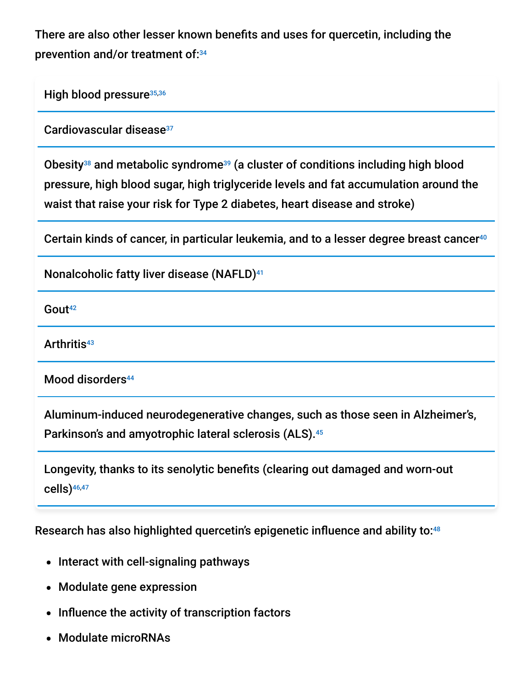There are also other lesser known benefits and uses for quercetin, including the prevention and/or treatment of: 34

High blood pressure<sup>35,36</sup>

Cardiovascular disease 37

Obesity<sup>38</sup> and metabolic syndrome<sup>39</sup> (a cluster of conditions including high blood pressure, high blood sugar, high triglyceride levels and fat accumulation around the waist that raise your risk for Type 2 diabetes, heart disease and stroke)

Certain kinds of cancer, in particular leukemia, and to a lesser degree breast cancer 40

Nonalcoholic fatty liver disease (NAFLD) 41

Gout 42

Arthritis 43

Mood disorders 44

Aluminum-induced neurodegenerative changes, such as those seen in Alzheimer's, Parkinson's and amyotrophic lateral sclerosis (ALS). 45

Longevity, thanks to its senolytic benefits (clearing out damaged and worn-out cells) 46,47

Research has also highlighted quercetin's epigenetic influence and ability to: 48

- Interact with cell-signaling pathways
- Modulate gene expression
- Influence the activity of transcription factors
- Modulate microRNAs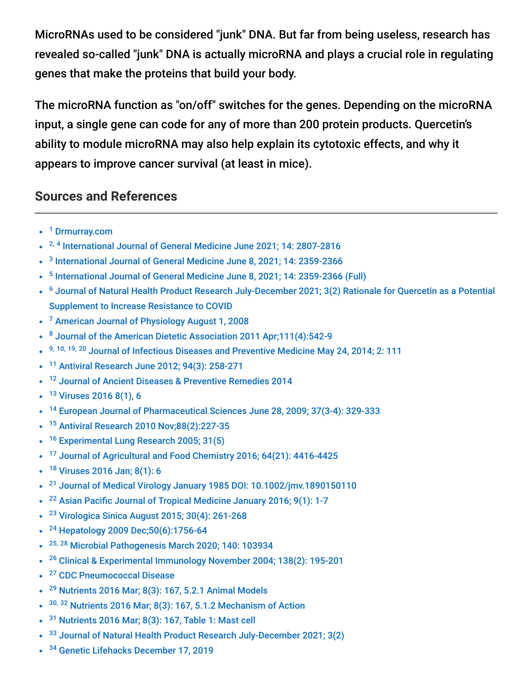MicroRNAs used to be considered "junk" DNA. But far from being useless, research has revealed so-called "junk" DNA is actually microRNA and plays a crucial role in regulating genes that make the proteins that build your body.

The microRNA function as "on/off" switches for the genes. Depending on the microRNA input, a single gene can code for any of more than 200 protein products. Quercetin's ability to module microRNA may also help explain its cytotoxic effects, and why it appears to improve cancer survival (at least in mice).

#### **Sources and References**

- <sup>1</sup> [Drmurray.com](https://doctormurray.com/most-recent/)
- <sup>2, 4</sup> [International Journal of General Medicine June 2021; 14: 2807-2816](https://www.ncbi.nlm.nih.gov/pmc/articles/PMC8238537/)
- <sup>3</sup> [International Journal of General Medicine June 8, 2021; 14: 2359-2366](https://pubmed.ncbi.nlm.nih.gov/34135619/)
- <sup>5</sup> [International Journal of General Medicine June 8, 2021; 14: 2359-2366 \(Full\)](https://www.ncbi.nlm.nih.gov/pmc/articles/PMC8197660/)
- <sup>6</sup> [Journal of Natural Health Product Research July-December 2021; 3\(2\) Rationale for Quercetin as a Potential](https://www.dropbox.com/s/y8z5goim3eatwc8/Quercetin%20Abstract%20for%20NHPRS_JS.pdf?dl=0) Supplement to Increase Resistance to COVID
- <sup>7</sup> [American Journal of Physiology August 1, 2008](https://journals.physiology.org/doi/full/10.1152/ajpregu.90319.2008?hits=10&HITS=10&author1=McClellan%2C+JL&sortspec=relevance&searchid=1&maxtoshow=&FIRSTINDEX=0&resourcetype=HWCIT&RESULTFORMAT=)
- <sup>8</sup> [Journal of the American Dietetic Association 2011 Apr;111\(4\):542-9](https://pubmed.ncbi.nlm.nih.gov/21443986/)
- 9, 10, 19, 20 [Journal of Infectious Diseases and Preventive Medicine May 24, 2014; 2: 111](https://www.omicsonline.org/open-access/quercetin-a-promising-treatment-for-the-common-cold-2329-8731.1000111.php?aid=26296)
- <sup>11</sup> [Antiviral Research June 2012; 94\(3\): 258-271](https://www.sciencedirect.com/science/article/pii/S0166354212000630)
- <sup>12</sup> [Journal of Ancient Diseases & Preventive Remedies 2014](https://citeseerx.ist.psu.edu/viewdoc/download?doi=10.1.1.913.2817&rep=rep1&type=pdf)
- <sup>13</sup> [Viruses 2016 8\(1\), 6](https://www.mdpi.com/1999-4915/8/1/6)
- <sup>14</sup> [European Journal of Pharmaceutical Sciences June 28, 2009; 37\(3-4\): 329-333](https://www.sciencedirect.com/science/article/abs/pii/S0928098709000761)
- <sup>15</sup> [Antiviral Research 2010 Nov;88\(2\):227-35](https://www.ncbi.nlm.nih.gov/pubmed/20826184)
- <sup>16</sup> [Experimental Lung Research 2005; 31\(5\)](http://www.tandfonline.com/doi/abs/10.1080/019021490927088)
- <sup>17</sup> [Journal of Agricultural and Food Chemistry 2016; 64\(21\): 4416-4425](https://pubs.acs.org/doi/abs/10.1021/acs.jafc.6b00148?src=recsys&journalCode=jafcau)
- <sup>18</sup> [Viruses 2016 Jan; 8\(1\): 6](https://www.ncbi.nlm.nih.gov/pmc/articles/PMC4728566/)
- <sup>21</sup> [Journal of Medical Virology January 1985 DOI: 10.1002/jmv.1890150110](http://onlinelibrary.wiley.com/doi/10.1002/jmv.1890150110/abstract)  $\bullet$
- <sup>22</sup> [Asian Pacific Journal of Tropical Medicine January 2016; 9\(1\): 1-7](https://www.sciencedirect.com/science/article/pii/S1995764515002230)
- <sup>23</sup> [Virologica Sinica August 2015; 30\(4\): 261-268](https://link.springer.com/article/10.1007/s12250-015-3584-5)
- <sup>24</sup> [Hepatology 2009 Dec;50\(6\):1756-64](https://www.ncbi.nlm.nih.gov/pubmed/19839005)
- <sup>25, 28</sup> [Microbial Pathogenesis March 2020; 140: 103934](https://www.sciencedirect.com/science/article/abs/pii/S0882401019316134)  $\bullet$
- <sup>26</sup> [Clinical & Experimental Immunology November 2004; 138\(2\): 195-201](https://www.ncbi.nlm.nih.gov/pmc/articles/PMC1809205/)
- <sup>27</sup> [CDC Pneumococcal Disease](https://www.cdc.gov/pneumococcal/about/infection-types.html)  $\bullet$
- $29$  [Nutrients 2016 Mar; 8\(3\): 167, 5.2.1 Animal Models](https://www.ncbi.nlm.nih.gov/pmc/articles/PMC4808895/)
- $30, 32$  [Nutrients 2016 Mar; 8\(3\): 167, 5.1.2 Mechanism of Action](https://www.ncbi.nlm.nih.gov/pmc/articles/PMC4808895/)
- $31$  [Nutrients 2016 Mar; 8\(3\): 167, Table 1: Mast cell](https://www.ncbi.nlm.nih.gov/pmc/articles/PMC4808895/)
- <sup>33</sup> [Journal of Natural Health Product Research July-December 2021; 3\(2\)](https://jnhpresearch.com/index.php/jnhpr/article/view/17/24)
- <sup>34</sup> [Genetic Lifehacks December 17, 2019](https://www.geneticlifehacks.com/quercetin-scientific-studies/)